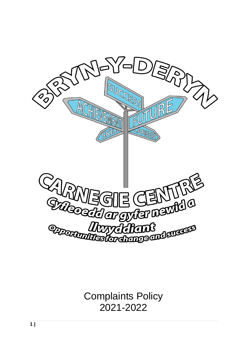

Complaints Policy 2021-2022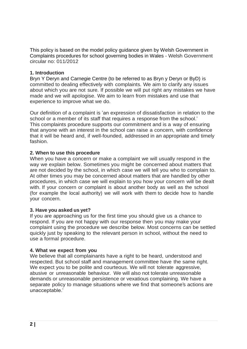This policy is based on the model policy guidance given by Welsh Government in Complaints procedures for school governing bodies in Wales - Welsh Government circular no: 011/2012

## **1. Introduction**

Bryn Y Deryn and Carnegie Centre (to be referred to as Bryn y Deryn or ByD) is committed to dealing effectively with complaints. We aim to clarify any issues about which you are not sure. If possible we will put right any mistakes we have made and we will apologise. We aim to learn from mistakes and use that experience to improve what we do.

Our definition of a complaint is 'an expression of dissatisfaction in relation to the school or a member of its staff that requires a response from the school.' This complaints procedure supports our commitment and is a way of ensuring that anyone with an interest in the school can raise a concern, with confidence that it will be heard and, if well-founded, addressed in an appropriate and timely fashion.

## **2. When to use this procedure**

When you have a concern or make a complaint we will usually respond in the way we explain below. Sometimes you might be concerned about matters that are not decided by the school, in which case we will tell you who to complain to. At other times you may be concerned about matters that are handled by other procedures, in which case we will explain to you how your concern will be dealt with. If your concern or complaint is about another body as well as the school (for example the local authority) we will work with them to decide how to handle your concern.

# **3. Have you asked us yet?**

If you are approaching us for the first time you should give us a chance to respond. If you are not happy with our response then you may make your complaint using the procedure we describe below. Most concerns can be settled quickly just by speaking to the relevant person in school, without the need to use a formal procedure.

### **4. What we expect from you**

We believe that all complainants have a right to be heard, understood and respected. But school staff and management committee have the same right. We expect you to be polite and courteous. We will not tolerate aggressive, abusive or unreasonable behaviour. We will also not tolerate unreasonable demands or unreasonable persistence or vexatious complaining. We have a separate policy to manage situations where we find that someone's actions are unacceptable.'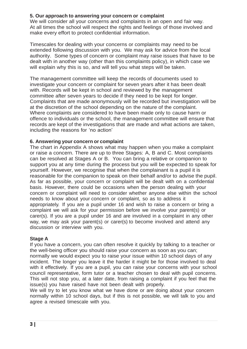# **5. Our approach to answering your concern or complaint**

We will consider all your concerns and complaints in an open and fair way. At all times the school will respect the rights and feelings of those involved and make every effort to protect confidential information.

Timescales for dealing with your concerns or complaints may need to be extended following discussion with you. We may ask for advice from the local authority. Some types of concern or complaint may raise issues that have to be dealt with in another way (other than this complaints policy), in which case we will explain why this is so, and will tell you what steps will be taken.

The management committee will keep the records of documents used to investigate your concern or complaint for seven years after it has been dealt with. Records will be kept in school and reviewed by the management committee after seven years to decide if they need to be kept for longer. Complaints that are made anonymously will be recorded but investigation will be at the discretion of the school depending on the nature of the complaint. Where complaints are considered to have been made only to cause harm or offence to individuals or the school, the management committee will ensure that records are kept of the investigations that are made and what actions are taken, including the reasons for 'no action'

## **6. Answering your concern or complaint**

The chart in Appendix A shows what may happen when you make a complaint or raise a concern. There are up to three Stages: A, B and C. Most complaints can be resolved at Stages A or B. You can bring a relative or companion to support you at any time during the process but you will be expected to speak for yourself. However, we recognise that when the complainant is a pupil it is reasonable for the companion to speak on their behalf and/or to advise the pupil. As far as possible, your concern or complaint will be dealt with on a confidential basis. However, there could be occasions when the person dealing with your concern or complaint will need to consider whether anyone else within the school needs to know about your concern or complaint, so as to address it appropriately. If you are a pupil under 16 and wish to raise a concern or bring a complaint we will ask for your permission before we involve your parent(s) or carer(s). If you are a pupil under 16 and are involved in a complaint in any other way, we may ask your parent(s) or carer(s) to become involved and attend any discussion or interview with you.

# **Stage A**

If you have a concern, you can often resolve it quickly by talking to a teacher or the well-being officer you should raise your concern as soon as you can; normally we would expect you to raise your issue within 10 school days of any incident. The longer you leave it the harder it might be for those involved to deal with it effectively. If you are a pupil, you can raise your concerns with your school council representative, form tutor or a teacher chosen to deal with pupil concerns. This will not stop you, at a later date, from raising a complaint if you feel that the issue(s) you have raised have not been dealt with properly.

We will try to let you know what we have done or are doing about your concern normally within 10 school days, but if this is not possible, we will talk to you and agree a revised timescale with you.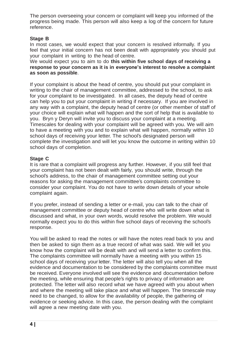The person overseeing your concern or complaint will keep you informed of the progress being made. This person will also keep a log of the concern for future reference.

## **Stage B**

In most cases, we would expect that your concern is resolved informally. If you feel that your initial concern has not been dealt with appropriately you should put your complaint in writing to the head of centre.

We would expect you to aim to do **this within five school days of receiving a response to your concern as it is in everyone's interest to resolve a complaint as soon as possible**.

If your complaint is about the head of centre, you should put your complaint in writing to the chair of management committee, addressed to the school, to ask for your complaint to be investigated. In all cases, the deputy head of centre can help you to put your complaint in writing if necessary. If you are involved in any way with a complaint, the deputy head of centre (or other member of staff of your choice will explain what will happen and the sort of help that is available to you. Bryn y Deryn will invite you to discuss your complaint at a meeting. Timescales for dealing with your complaint will be agreed with you. We will aim to have a meeting with you and to explain what will happen, normally within 10 school days of receiving your letter. The school's designated person will complete the investigation and will let you know the outcome in writing within 10 school days of completion.

## **Stage C**

It is rare that a complaint will progress any further. However, if you still feel that your complaint has not been dealt with fairly, you should write, through the school's address, to the chair of management committee setting out your reasons for asking the management committee's complaints committee to consider your complaint. You do not have to write down details of your whole complaint again.

If you prefer, instead of sending a letter or e-mail, you can talk to the chair of management committee or deputy head of centre who will write down what is discussed and what, in your own words, would resolve the problem. We would normally expect you to do this within five school days of receiving the school's response.

You will be asked to read the notes or will have the notes read back to you and then be asked to sign them as a true record of what was said. We will let you know how the complaint will be dealt with and will send a letter to confirm this. The complaints committee will normally have a meeting with you within 15 school days of receiving yourletter. The letter will also tell you when all the evidence and documentation to be considered by the complaints committee must be received. Everyone involved will see the evidence and documentation before the meeting, while ensuring that people's rights to privacy of information are protected. The letter will also record what we have agreed with you about when and where the meeting will take place and what will happen. The timescale may need to be changed, to allow for the availability of people, the gathering of evidence or seeking advice. In this case, the person dealing with the complaint will agree a new meeting date with you.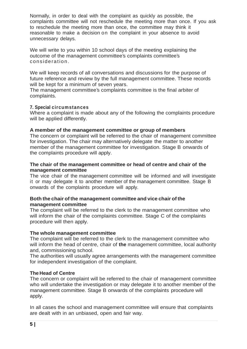Normally, in order to deal with the complaint as quickly as possible, the complaints committee will not reschedule the meeting more than once. If you ask to reschedule the meeting more than once, the committee may think it reasonable to make a decision on the complaint in your absence to avoid unnecessary delays.

We will write to you within 10 school days of the meeting explaining the outcome of the management committee's complaints committee's consideration .

We will keep records of all conversations and discussions for the purpose of future reference and review by the full management committee. These records will be kept for a minimum of seven years.

The management committee's complaints committee is the final arbiter of complaints.

### **7. Special circumstances**

Where a complaint is made about any of the following the complaints procedure will be applied differently.

### **A member of the management committee or group of members**

The concern or complaint will be referred to the chair of management committee for investigation. The chair may alternatively delegate the matter to another member of the management committee for investigation. Stage B onwards of the complaints procedure will apply.

### **The chair of the management committee or head of centre and chair of the management committee**

The vice chair of the management committee will be informed and will investigate it or may delegate it to another member of the management committee. Stage B onwards of the complaints procedure will apply.

### **Both the chair of the management committee and vice chair of the management committee**

The complaint will be referred to the clerk to the management committee who will inform the chair of the complaints committee. Stage C of the complaints procedure will then apply.

### **The whole management committee**

The complaint will be referred to the clerk to the management committee who will inform the head of centre, chair of **the** management committee, local authority and, commissioning school.

The authorities will usually agree arrangements with the management committee for independent investigation of the complaint.

### **The Head of Centre**

The concern or complaint will be referred to the chair of management committee who will undertake the investigation or may delegate it to another member of the management committee. Stage B onwards of the complaints procedure will apply.

In all cases the school and management committee will ensure that complaints are dealt with in an unbiased, open and fair way.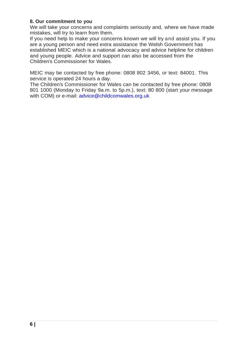## **8. Our commitment to you**

We will take your concerns and complaints seriously and, where we have made mistakes, will try to learn from them.

If you need help to make your concerns known we will try and assist you. If you are a young person and need extra assistance the Welsh Government has established MEIC which is a national advocacy and advice helpline for children and young people. Advice and support can also be accessed from the Children's Commissioner for Wales.

MEIC may be contacted by free phone: 0808 802 3456, or text: 84001. This service is operated 24 hours a day.

The Children's Commissioner for Wales can be contacted by free phone: 0808 801 1000 (Monday to Friday 9a.m. to 5p.m.), text: 80 800 (start your message with COM) or e-mail: [advice@childcomwales.org.uk](mailto:advice@childcomwales.org.uk)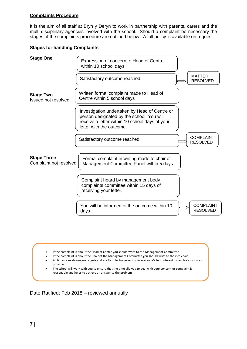#### **Complaints Procedure**

It is the aim of all staff at Bryn y Deryn to work in partnership with parents, carers and the multi-disciplinary agencies involved with the school. Should a complaint be necessary the stages of the complaints procedure are outlined below. A full policy is available on request.

#### **Stages for handling Complaints**



- If the complaint is about the Head of Centre you should write to the Management Committee
- If the complaint is about the Chair of the Management Committee you should write to the vice chair • All timescales shown are targets and are flexible, however it is in everyone's best interest to resolve as soon as possible.
- The school will work with you to ensure that the time allowed to deal with your concern or complaint is reasonable and helps to achieve an answer to the problem

Date Ratified: Feb 2018 – reviewed annually